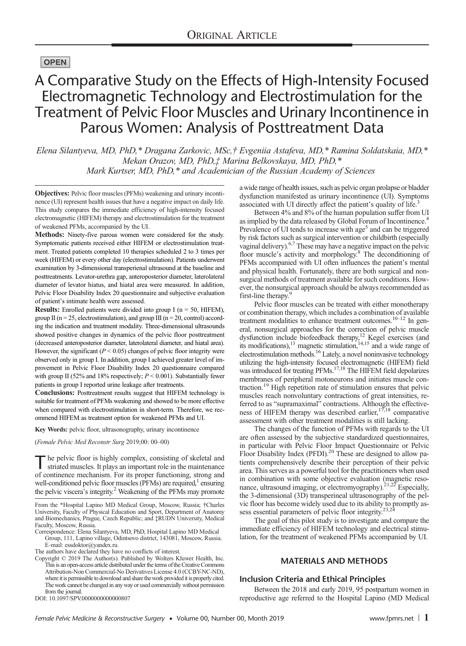## **OPEN**

# A Comparative Study on the Effects of High-Intensity Focused Electromagnetic Technology and Electrostimulation for the Treatment of Pelvic Floor Muscles and Urinary Incontinence in Parous Women: Analysis of Posttreatment Data

Elena Silantyeva, MD, PhD,\* Dragana Zarkovic, MSc,† Evgeniia Astafeva, MD,\* Ramina Soldatskaia, MD,\* Mekan Orazov, MD, PhD,‡ Marina Belkovskaya, MD, PhD,\* Mark Kurtser, MD, PhD,\* and Academician of the Russian Academy of Sciences

Objectives: Pelvic floor muscles (PFMs) weakening and urinary incontinence (UI) represent health issues that have a negative impact on daily life. This study compares the immediate efficiency of high-intensity focused electromagnetic (HIFEM) therapy and electrostimulation for the treatment of weakened PFMs, accompanied by the UI.

Methods: Ninety-five parous women were considered for the study. Symptomatic patients received either HIFEM or electrostimulation treatment. Treated patients completed 10 therapies scheduled 2 to 3 times per week (HIFEM) or every other day (electrostimulation). Patients underwent examination by 3-dimensional transperienal ultrasound at the baseline and posttreatments. Levator-urethra gap, anteroposterior diameter, laterolateral diameter of levator hiatus, and hiatal area were measured. In addition, Pelvic Floor Disability Index 20 questionnaire and subjective evaluation of patient's intimate health were assessed.

**Results:** Enrolled patients were divided into group I ( $n = 50$ , HIFEM), group II ( $n = 25$ , electrostimulation), and group III ( $n = 20$ , control) according the indication and treatment modality. Three-dimensional ultrasounds showed positive changes in dynamics of the pelvic floor posttreatment (decreased anteroposterior diameter, laterolateral diameter, and hiatal area). However, the significant ( $P \le 0.05$ ) changes of pelvic floor integrity were observed only in group I. In addition, group I achieved greater level of improvement in Pelvic Floor Disability Index 20 questionnaire compared with group II (52% and 18% respectively;  $P < 0.001$ ). Substantially fewer patients in group I reported urine leakage after treatments.

Conclusions: Posttreatment results suggest that HIFEM technology is suitable for treatment of PFMs weakening and showed to be more effective when compared with electrostimulation in short-term. Therefore, we recommend HIFEM as treatment option for weakened PFMs and UI.

#### Key Words: pelvic floor, ultrasonography, urinary incontinence

(Female Pelvic Med Reconstr Surg 2019;00: 00–00)

The pelvic floor is highly complex, consisting of skeletal and striated muscles. It plays an important role in the maintenance of continence mechanism. For its proper functioning, strong and well-conditioned pelvic floor muscles ( $PFMs$ ) are required, $1$  ensuring the pelvic viscera's integrity.<sup>2</sup> Weakening of the PFMs may promote

DOI: 10.1097/SPV.0000000000000807

a wide range of health issues, such as pelvic organ prolapse or bladder dysfunction manifested as urinary incontinence (UI). Symptoms associated with UI directly affect the patient's quality of life.<sup>3</sup>

Between 4% and 8% of the human population suffer from UI as implied by the data released by Global Forum of Incontinence.<sup>4</sup> Prevalence of UI tends to increase with age<sup>5</sup> and can be triggered by risk factors such as surgical intervention or childbirth (especially vaginal delivery).6,7 These may have a negative impact on the pelvic floor muscle's activity and morphology.8 The deconditioning of PFMs accompanied with UI often influences the patient's mental and physical health. Fortunately, there are both surgical and nonsurgical methods of treatment available for such conditions. However, the nonsurgical approach should be always recommended as first-line therapy.<sup>9</sup>

Pelvic floor muscles can be treated with either monotherapy or combination therapy, which includes a combination of available treatment modalities to enhance treatment outcomes.<sup>10–12</sup> In general, nonsurgical approaches for the correction of pelvic muscle dysfunction include biofeedback therapy,<sup>12</sup> Kegel exercises (and its modifications), $^{13}$  magnetic stimulation, $^{14,15}$  and a wide range of electrostimulation methods.16 Lately, a novel noninvasive technology utilizing the high-intensity focused electromagnetic (HIFEM) field was introduced for treating PFMs.17,18 The HIFEM field depolarizes membranes of peripheral motoneurons and initiates muscle contraction.19 High repetition rate of stimulation ensures that pelvic muscles reach nonvoluntary contractions of great intensities, referred to as "supramaximal" contractions. Although the effectiveness of HIFEM therapy was described earlier,  $17,18$  comparative assessment with other treatment modalities is still lacking.

The changes of the function of PFMs with regards to the UI are often assessed by the subjective standardized questionnaires, in particular with Pelvic Floor Impact Questionnaire or Pelvic Floor Disability Index (PFDI).<sup>20</sup> These are designed to allow patients comprehensively describe their perception of their pelvic area. This serves as a powerful tool for the practitioners when used in combination with some objective evaluation (magnetic reso-<br>nance, ultrasound imaging, or electromyography).<sup>21,22</sup> Especially, the 3-dimensional (3D) transperineal ultrasonography of the pelvic floor has become widely used due to its ability to promptly as-sess essential parameters of pelvic floor integrity.23,24

The goal of this pilot study is to investigate and compare the immediate efficiency of HIFEM technology and electrical stimulation, for the treatment of weakened PFMs accompanied by UI.

## MATERIALS AND METHODS

#### Inclusion Criteria and Ethical Principles

Between the 2018 and early 2019, 95 postpartum women in reproductive age referred to the Hospital Lapino (MD Medical

From the \*Hospital Lapino MD Medical Group, Moscow, Russia; †Charles University, Faculty of Physical Education and Sport, Department of Anatomy and Biomechanics, Prague, Czech Republic; and ‡RUDN University, Medical Faculty, Moscow, Russia.

Correspondence: Elena Silantyeva, MD, PhD, Hospital Lapino MD Medical Group, 111, Lapino village, Odintsovo district, 143081, Moscow, Russia.

E‐mail: [essdoktor@yandex.ru.](mailto:essdoktor@yandex.ru)

The authors have declared they have no conflicts of interest.

Copyright © 2019 The Author(s). Published by Wolters Kluwer Health, Inc. This is an open-access article distributed under the terms of the [Creative Commons](http://creativecommons.org/licenses/by-nc-nd/4.0/) [Attribution-Non Commercial-No Derivatives License 4.0 \(CCBY-NC-ND\)](http://creativecommons.org/licenses/by-nc-nd/4.0/), where it is permissible to download and share thework provided it is properly cited. The work cannot be changed in any way or used commercially without permission from the journal.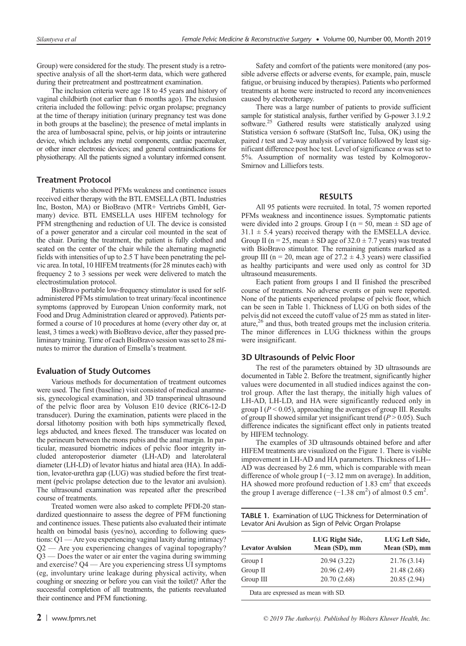Group) were considered for the study. The present study is a retrospective analysis of all the short-term data, which were gathered during their pretreatment and posttreatment examination.

The inclusion criteria were age 18 to 45 years and history of vaginal childbirth (not earlier than 6 months ago). The exclusion criteria included the following: pelvic organ prolapse; pregnancy at the time of therapy initiation (urinary pregnancy test was done in both groups at the baseline); the presence of metal implants in the area of lumbosacral spine, pelvis, or hip joints or intrauterine device, which includes any metal components, cardiac pacemaker, or other inner electronic devices; and general contraindications for physiotherapy. All the patients signed a voluntary informed consent.

## Treatment Protocol

Patients who showed PFMs weakness and continence issues received either therapy with the BTL EMSELLA (BTL Industries Inc, Boston, MA) or BioBravo (MTR+ Vertriebs GmbH, Germany) device. BTL EMSELLA uses HIFEM technology for PFM strengthening and reduction of UI. The device is consisted of a power generator and a circular coil mounted in the seat of the chair. During the treatment, the patient is fully clothed and seated on the center of the chair while the alternating magnetic fields with intensities of up to 2.5 T have been penetrating the pelvic area. In total, 10 HIFEM treatments (for 28 minutes each) with frequency 2 to 3 sessions per week were delivered to match the electrostimulation protocol.

BioBravo portable low-frequency stimulator is used for selfadministered PFMs stimulation to treat urinary/fecal incontinence symptoms (approved by European Union conformity mark, not Food and Drug Administration cleared or approved). Patients performed a course of 10 procedures at home (every other day or, at least, 3 times a week) with BioBravo device, after they passed preliminary training. Time of each BioBravo session was set to 28 minutes to mirror the duration of Emsella's treatment.

#### Evaluation of Study Outcomes

Various methods for documentation of treatment outcomes were used. The first (baseline) visit consisted of medical anamnesis, gynecological examination, and 3D transperineal ultrasound of the pelvic floor area by Voluson E10 device (RIC6-12-D transducer). During the examination, patients were placed in the dorsal lithotomy position with both hips symmetrically flexed, legs abducted, and knees flexed. The transducer was located on the perineum between the mons pubis and the anal margin. In particular, measured biometric indices of pelvic floor integrity included anteroposterior diameter (LH-AD) and laterolateral diameter (LH-LD) of levator hiatus and hiatal area (HA). In addition, levator-urethra gap (LUG) was studied before the first treatment (pelvic prolapse detection due to the levator ani avulsion). The ultrasound examination was repeated after the prescribed course of treatments.

Treated women were also asked to complete PFDI-20 standardized questionnaire to assess the degree of PFM functioning and continence issues. These patients also evaluated their intimate health on bimodal basis (yes/no), according to following questions: Q1 — Are you experiencing vaginal laxity during intimacy? Q2 — Are you experiencing changes of vaginal topography? Q3 — Does the water or air enter the vagina during swimming and exercise? Q4 — Are you experiencing stress UI symptoms (eg, involuntary urine leakage during physical activity, when coughing or sneezing or before you can visit the toilet)? After the successful completion of all treatments, the patients reevaluated their continence and PFM functioning.

Safety and comfort of the patients were monitored (any possible adverse effects or adverse events, for example, pain, muscle fatigue, or bruising induced by therapies). Patients who performed treatments at home were instructed to record any inconveniences caused by electrotherapy.

There was a large number of patients to provide sufficient sample for statistical analysis, further verified by G-power 3.1.9.2 software.25 Gathered results were statistically analyzed using Statistica version 6 software (StatSoft Inc, Tulsa, OK) using the paired  $t$  test and 2-way analysis of variance followed by least significant difference post hoc test. Level of significance  $\alpha$  was set to 5%. Assumption of normality was tested by Kolmogorov-Smirnov and Lilliefors tests.

## RESULTS

All 95 patients were recruited. In total, 75 women reported PFMs weakness and incontinence issues. Symptomatic patients were divided into 2 groups. Group I ( $n = 50$ , mean  $\pm$  SD age of  $31.1 \pm 5.4$  years) received therapy with the EMSELLA device. Group II ( $n = 25$ , mean  $\pm$  SD age of 32.0  $\pm$  7.7 years) was treated with BioBravo stimulator. The remaining patients marked as a group III ( $n = 20$ , mean age of  $27.2 \pm 4.3$  years) were classified as healthy participants and were used only as control for 3D ultrasound measurements.

Each patient from groups I and II finished the prescribed course of treatments. No adverse events or pain were reported. None of the patients experienced prolapse of pelvic floor, which can be seen in Table 1. Thickness of LUG on both sides of the pelvis did not exceed the cutoff value of 25 mm as stated in literature,26 and thus, both treated groups met the inclusion criteria. The minor differences in LUG thickness within the groups were insignificant.

## 3D Ultrasounds of Pelvic Floor

The rest of the parameters obtained by 3D ultrasounds are documented in Table 2. Before the treatment, significantly higher values were documented in all studied indices against the control group. After the last therapy, the initially high values of LH-AD, LH-LD, and HA were significantly reduced only in group I ( $P < 0.05$ ), approaching the averages of group III. Results of group II showed similar yet insignificant trend  $(P > 0.05)$ . Such difference indicates the significant effect only in patients treated by HIFEM technology.

The examples of 3D ultrasounds obtained before and after HIFEM treatments are visualized on the Figure 1. There is visible improvement in LH-AD and HA parameters. Thickness of LH-- AD was decreased by 2.6 mm, which is comparable with mean difference of whole group I (−3.12 mm on average). In addition, HA showed more profound reduction of  $1.83 \text{ cm}^2$  that exceeds the group I average difference  $(-1.38 \text{ cm}^2)$  of almost 0.5 cm<sup>2</sup>.

|  |                                                       | <b>TABLE 1.</b> Examination of LUG Thickness for Determination of |
|--|-------------------------------------------------------|-------------------------------------------------------------------|
|  | Levator Ani Avulsion as Sign of Pelvic Organ Prolapse |                                                                   |

| <b>Levator Avulsion</b> | LUG Right Side,<br>Mean (SD), mm | LUG Left Side,<br>Mean (SD), mm |  |
|-------------------------|----------------------------------|---------------------------------|--|
| Group I                 | 20.94 (3.22)                     | 21.76 (3.14)                    |  |
| Group II                | 20.96 (2.49)                     | 21.48 (2.68)                    |  |
| Group $III$             | 20.70 (2.68)                     | 20.85 (2.94)                    |  |
|                         | $\cdots$                         |                                 |  |

Data are expressed as mean with SD.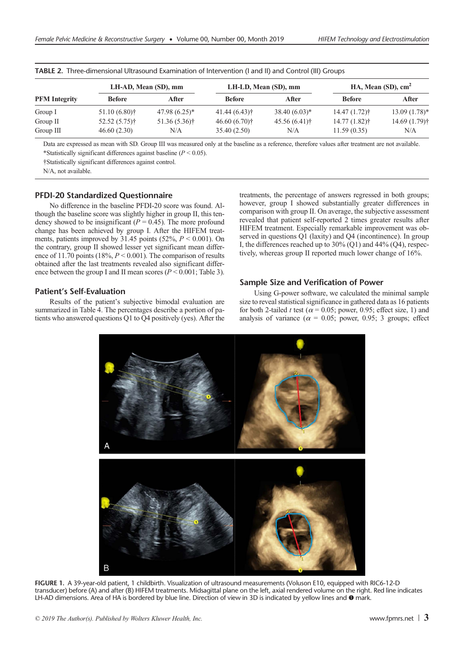|                      | LH-AD, Mean (SD), mm |                   | LH-LD, Mean (SD), mm |                 | HA, Mean $(SD)$ , $cm2$ |                           |
|----------------------|----------------------|-------------------|----------------------|-----------------|-------------------------|---------------------------|
| <b>PFM</b> Integrity | <b>Before</b>        | <b>After</b>      | <b>Before</b>        | After           | <b>Before</b>           | After                     |
| Group I              | $51.10(6.80)$ †      | $47.98(6.25)^{*}$ | 41.44(6.43)          | $38.40(6.03)*$  | $14.47(1.72)$ †         | $13.09(1.78)$ *           |
| Group $\Pi$          | $52.52(5.75)$ †      | $51.36(5.36)$ †   | $46.60(6.70)$ †      | $45.56(6.41)$ † | $14.77(1.82)$ †         | 14.69 (1.79) <sup>†</sup> |
| Group III            | 46.60(2.30)          | N/A               | 35.40(2.50)          | N/A             | 11.59(0.35)             | N/A                       |

TABLE 2. Three-dimensional Ultrasound Examination of Intervention (I and II) and Control (III) Groups

Data are expressed as mean with SD. Group III was measured only at the baseline as a reference, therefore values after treatment are not available. \*Statistically significant differences against baseline ( $P \le 0.05$ ).

†Statistically significant differences against control.

N/A, not available.

## PFDI-20 Standardized Questionnaire

No difference in the baseline PFDI-20 score was found. Although the baseline score was slightly higher in group II, this tendency showed to be insignificant ( $P = 0.45$ ). The more profound change has been achieved by group I. After the HIFEM treatments, patients improved by  $31.45$  points (52%,  $P < 0.001$ ). On the contrary, group II showed lesser yet significant mean difference of 11.70 points (18%,  $P \le 0.001$ ). The comparison of results obtained after the last treatments revealed also significant difference between the group I and II mean scores ( $P < 0.001$ ; Table 3).

## Patient's Self-Evaluation

Results of the patient's subjective bimodal evaluation are summarized in Table 4. The percentages describe a portion of patients who answered questions Q1 to Q4 positively (yes). After the treatments, the percentage of answers regressed in both groups; however, group I showed substantially greater differences in comparison with group II. On average, the subjective assessment revealed that patient self-reported 2 times greater results after HIFEM treatment. Especially remarkable improvement was observed in questions Q1 (laxity) and Q4 (incontinence). In group I, the differences reached up to 30% (Q1) and 44% (Q4), respectively, whereas group II reported much lower change of 16%.

#### Sample Size and Verification of Power

Using G-power software, we calculated the minimal sample size to reveal statistical significance in gathered data as 16 patients for both 2-tailed t test ( $\alpha$  = 0.05; power, 0.95; effect size, 1) and analysis of variance ( $\alpha = 0.05$ ; power, 0.95; 3 groups; effect



FIGURE 1. A 39-year-old patient, 1 childbirth. Visualization of ultrasound measurements (Voluson E10, equipped with RIC6-12-D transducer) before (A) and after (B) HIFEM treatments. Midsagittal plane on the left, axial rendered volume on the right. Red line indicates LH-AD dimensions. Area of HA is bordered by blue line. Direction of view in 3D is indicated by yellow lines and  $\bullet$  mark.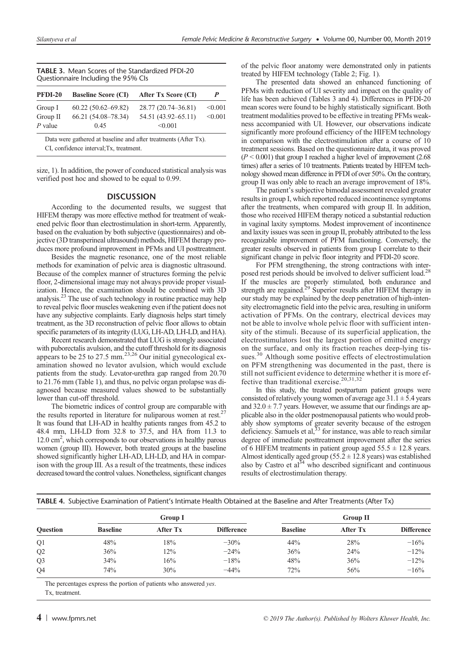| <b>TABLE 3.</b> Mean Scores of the Standardized PFDI-20 |
|---------------------------------------------------------|
| Questionnaire Including the 95% Cls                     |

| <b>PFDI-20</b> | <b>Baseline Score (CI)</b> | After Tx Score (CI) | P       |
|----------------|----------------------------|---------------------|---------|
| Group I        | $60.22(50.62 - 69.82)$     | 28.77 (20.74–36.81) | < 0.001 |
| Group II       | 66.21 (54.08–78.34)        | 54.51 (43.92–65.11) | < 0.001 |
| $P$ value      | 0.45                       | < 0.001             |         |

Data were gathered at baseline and after treatments (After Tx). CI, confidence interval;Tx, treatment.

size, 1). In addition, the power of conduced statistical analysis was verified post hoc and showed to be equal to 0.99.

## **DISCUSSION**

According to the documented results, we suggest that HIFEM therapy was more effective method for treatment of weakened pelvic floor than electrostimulation in short-term. Apparently, based on the evaluation by both subjective (questionnaires) and objective (3D transperineal ultrasound) methods, HIFEM therapy produces more profound improvement in PFMs and UI posttreatment.

Besides the magnetic resonance, one of the most reliable methods for examination of pelvic area is diagnostic ultrasound. Because of the complex manner of structures forming the pelvic floor, 2-dimensional image may not always provide proper visualization. Hence, the examination should be combined with 3D analysis.<sup>23</sup> The use of such technology in routine practice may help to reveal pelvic floor muscles weakening even if the patient does not have any subjective complaints. Early diagnosis helps start timely treatment, as the 3D reconstruction of pelvic floor allows to obtain specific parameters of its integrity (LUG, LH-AD, LH-LD, and HA).

Recent research demonstrated that LUG is strongly associated with puborectalis avulsion, and the cutoff threshold for its diagnosis appears to be 25 to 27.5 mm.<sup>23,26</sup> Our initial gynecological examination showed no levator avulsion, which would exclude patients from the study. Levator-urethra gap ranged from 20.70 to 21.76 mm (Table 1), and thus, no pelvic organ prolapse was diagnosed because measured values showed to be substantially lower than cut-off threshold.

The biometric indices of control group are comparable with the results reported in literature for nuliparous women at rest.<sup>27</sup> It was found that LH-AD in healthy patients ranges from 45.2 to 48.4 mm, LH-LD from 32.8 to 37.5, and HA from 11.3 to 12.0 cm<sup>2</sup>, which corresponds to our observations in healthy parous women (group III). However, both treated groups at the baseline showed significantly higher LH-AD, LH-LD, and HA in comparison with the group III. As a result of the treatments, these indices decreased toward the control values. Nonetheless, significant changes of the pelvic floor anatomy were demonstrated only in patients treated by HIFEM technology (Table 2; Fig. 1).

The presented data showed an enhanced functioning of PFMs with reduction of UI severity and impact on the quality of life has been achieved (Tables 3 and 4). Differences in PFDI-20 mean scores were found to be highly statistically significant. Both treatment modalities proved to be effective in treating PFMs weakness accompanied with UI. However, our observations indicate significantly more profound efficiency of the HIFEM technology in comparison with the electrostimulation after a course of 10 treatment sessions. Based on the questionnaire data, it was proved  $(P < 0.001)$  that group I reached a higher level of improvement (2.68) times) after a series of 10 treatments. Patients treated by HIFEM technology showed mean difference in PFDI of over 50%. On the contrary, group II was only able to reach an average improvement of 18%.

The patient's subjective bimodal assessment revealed greater results in group I, which reported reduced incontinence symptoms after the treatments, when compared with group II. In addition, those who received HIFEM therapy noticed a substantial reduction in vaginal laxity symptoms. Modest improvement of incontinence and laxity issues was seen in group II, probably attributed to the less recognizable improvement of PFM functioning. Conversely, the greater results observed in patients from group I correlate to their significant change in pelvic floor integrity and PFDI-20 score.

For PFM strengthening, the strong contractions with interposed rest periods should be involved to deliver sufficient load.<sup>28</sup> If the muscles are properly stimulated, both endurance and strength are regained.<sup>29</sup> Superior results after HIFEM therapy in our study may be explained by the deep penetration of high-intensity electromagnetic field into the pelvic area, resulting in uniform activation of PFMs. On the contrary, electrical devices may not be able to involve whole pelvic floor with sufficient intensity of the stimuli. Because of its superficial application, the electrostimulators lost the largest portion of emitted energy on the surface, and only its fraction reaches deep-lying tissues.<sup>30</sup> Although some positive effects of electrostimulation on PFM strengthening was documented in the past, there is still not sufficient evidence to determine whether it is more effective than traditional exercise.<sup>20,31,32</sup>

In this study, the treated postpartum patient groups were consisted of relatively young women of average age  $31.1 \pm 5.4$  years and  $32.0 \pm 7.7$  years. However, we assume that our findings are applicable also in the older postmenopausal patients who would probably show symptoms of greater severity because of the estrogen deficiency. Samuels et al,  $33$  for instance, was able to reach similar degree of immediate posttreatment improvement after the series of 6 HIFEM treatments in patient group aged  $55.5 \pm 12.8$  years. Almost identically aged group  $(55.2 \pm 12.8 \text{ years})$  was established also by Castro et  $al^{34}$  who described significant and continuous results of electrostimulation therapy.

|  | TABLE 4. Subiective Examination of Patient's Intimate Health Obtained at the Baseline and After Treatments (After Tx) |  |  |
|--|-----------------------------------------------------------------------------------------------------------------------|--|--|
|  |                                                                                                                       |  |  |

|                 | <b>Group I</b>  |                 |                   | <b>Group II</b> |                 |                   |
|-----------------|-----------------|-----------------|-------------------|-----------------|-----------------|-------------------|
| <b>Question</b> | <b>Baseline</b> | <b>After Tx</b> | <b>Difference</b> | <b>Baseline</b> | <b>After Tx</b> | <b>Difference</b> |
| Q <sub>1</sub>  | 48%             | 18%             | $-30\%$           | 44%             | 28%             | $-16%$            |
| Q2              | 36%             | 12%             | $-24\%$           | 36%             | 24%             | $-12%$            |
| Q <sub>3</sub>  | 34%             | 16%             | $-18%$            | 48%             | 36%             | $-12%$            |
| Q4              | 74%             | 30%             | $-44%$            | 72%             | 56%             | $-16%$            |

The percentages express the portion of patients who answered yes. Tx, treatment.